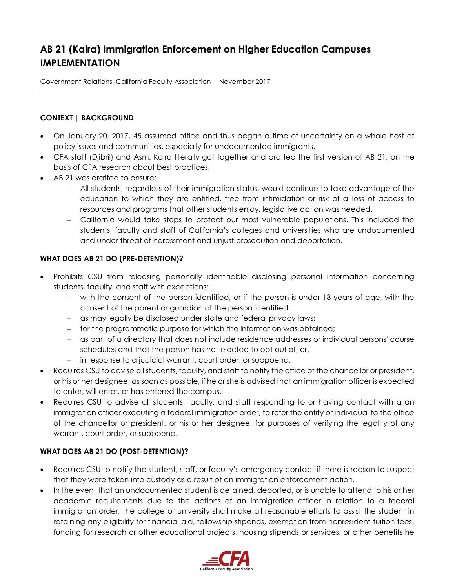# **AB 21 (Kalra) Immigration Enforcement on Higher Education Campuses IMPLEMENTATION**

Government Relations, California Faculty Association | November 2017

# **CONTEXT | BACKGROUND**

- On January 20, 2017, 45 assumed office and thus began a time of uncertainty on a whole host of policy issues and communities, especially for undocumented immigrants.
- CFA staff (Djibril) and Asm. Kalra literally got together and drafted the first version of AB 21, on the basis of CFA research about best practices.
- AB 21 was drafted to ensure:
	- All students, regardless of their immigration status, would continue to take advantage of the education to which they are entitled, free from intimidation or risk of a loss of access to resources and programs that other students enjoy, legislative action was needed.
	- California would take steps to protect our most vulnerable populations. This included the students, faculty and staff of California's colleges and universities who are undocumented and under threat of harassment and unjust prosecution and deportation.

# **WHAT DOES AB 21 DO (PRE-DETENTION)?**

- Prohibits CSU from releasing personally identifiable disclosing personal information concerning students, faculty, and staff with exceptions:
	- with the consent of the person identified, or if the person is under 18 years of age, with the consent of the parent or guardian of the person identified;
	- as may legally be disclosed under state and federal privacy laws;
	- for the programmatic purpose for which the information was obtained;
	- as part of a directory that does not include residence addresses or individual persons' course schedules and that the person has not elected to opt out of; or,
	- in response to a judicial warrant, court order, or subpoena.
- Requires CSU to advise all students, faculty, and staff to notify the office of the chancellor or president, or his or her designee, as soon as possible, if he or she is advised that an immigration officer is expected to enter, will enter, or has entered the campus.
- Requires CSU to advise all students, faculty, and staff responding to or having contact with a an immigration officer executing a federal immigration order, to refer the entity or individual to the office of the chancellor or president, or his or her designee, for purposes of verifying the legality of any warrant, court order, or subpoena.

# **WHAT DOES AB 21 DO (POST-DETENTION)?**

- Requires CSU to notify the student, staff, or faculty's emergency contact if there is reason to suspect that they were taken into custody as a result of an immigration enforcement action.
- In the event that an undocumented student is detained, deported, or is unable to attend to his or her academic requirements due to the actions of an immigration officer in relation to a federal immigration order, the college or university shall make all reasonable efforts to assist the student in retaining any eligibility for financial aid, fellowship stipends, exemption from nonresident tuition fees, funding for research or other educational projects, housing stipends or services, or other benefits he